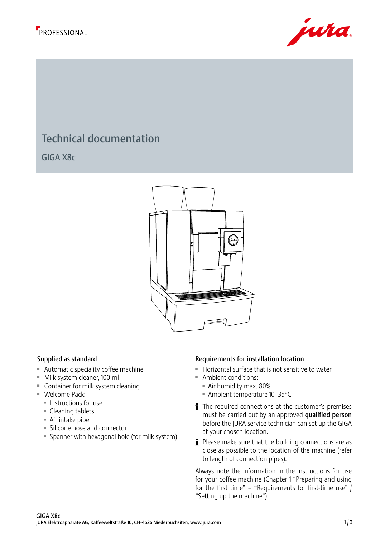



# Technical documentation

GIGA X8c

220



- $\blacksquare$  Automatic speciality coffee machine
- Milk system cleaner, 100 ml
- $\blacksquare$  Container for milk system cleaning
	- $\blacksquare$  Welcome Pack:
		- $\blacksquare$  Instructions for use
		- Cleaning tablets
		- $\blacksquare$  Air intake pipe
		- **Silicone hose and connector**
		- U Spanner with hexagonal hole (for milk system)

### equirements Supplied as standard **Supplied as standard** and **Requirements** for installation location

- Horizontal surface that is not sensitive to water
- **Ambient conditions:**
- Q R S T V W U Air humidity max. 80%
	- $\blacksquare$  Ambient temperature 10–35°C
	- $\mathbf i$  The required connections at the customer's premises must be carried out by an approved qualified person before the JURA service technician can set up the GIGA at your chosen location.
	- $\mathbf i$  Please make sure that the building connections are as close as possible to the location of the machine (refer to length of connection pipes).

Always note the information in the instructions for use for your coffee machine (Chapter 1 "Preparing and using for the first time" – "Requirements for first-time use"  $\int$ "Setting up the machine").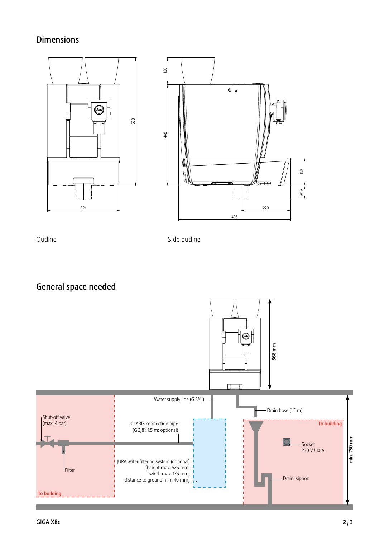### **Dimensions**



Outline

Outline **Side outline** 

General space needed